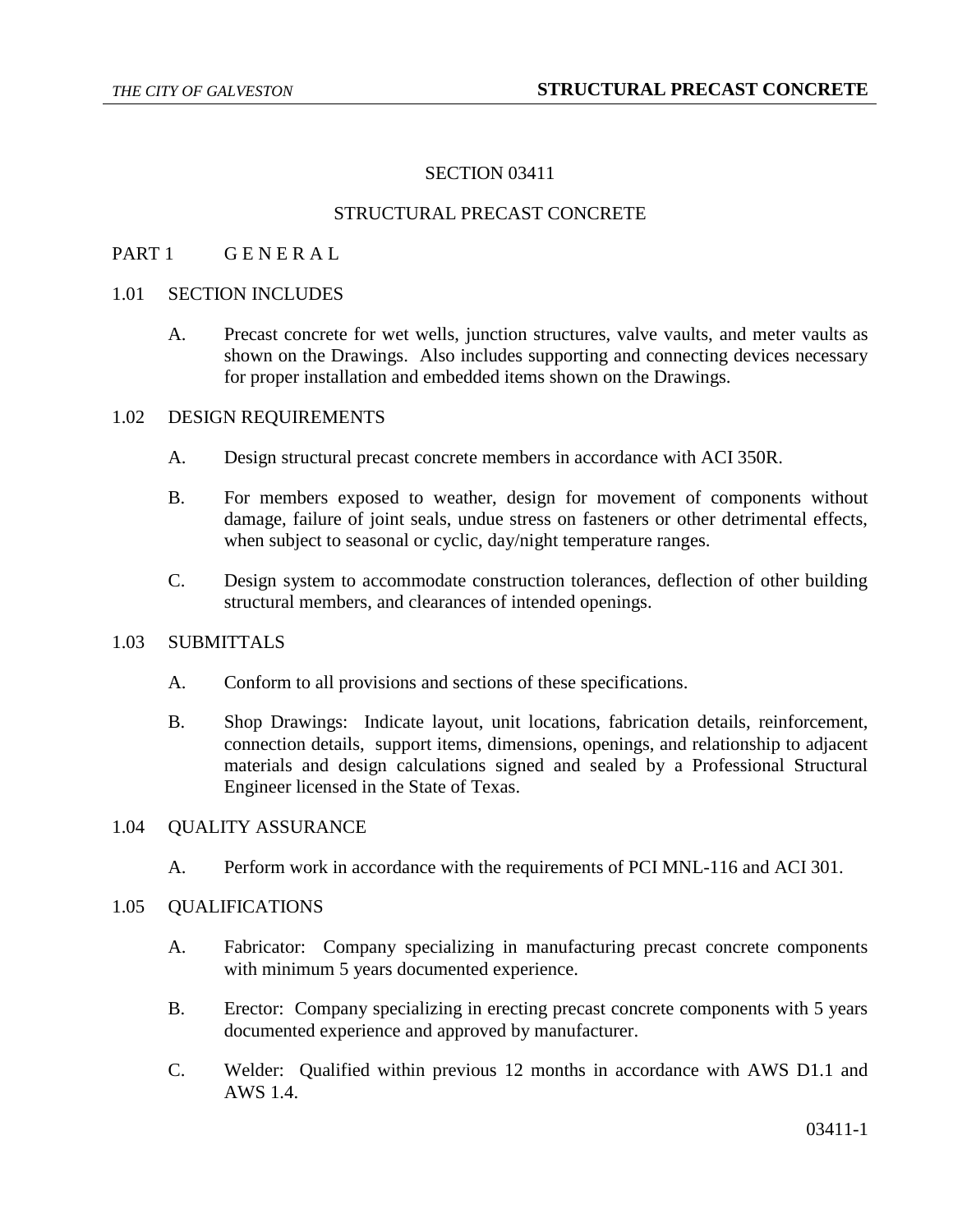# SECTION 03411

# STRUCTURAL PRECAST CONCRETE

### PART 1 GENERAL

#### 1.01 SECTION INCLUDES

A. Precast concrete for wet wells, junction structures, valve vaults, and meter vaults as shown on the Drawings. Also includes supporting and connecting devices necessary for proper installation and embedded items shown on the Drawings.

#### 1.02 DESIGN REQUIREMENTS

- A. Design structural precast concrete members in accordance with ACI 350R.
- B. For members exposed to weather, design for movement of components without damage, failure of joint seals, undue stress on fasteners or other detrimental effects, when subject to seasonal or cyclic, day/night temperature ranges.
- C. Design system to accommodate construction tolerances, deflection of other building structural members, and clearances of intended openings.

## 1.03 SUBMITTALS

- A. Conform to all provisions and sections of these specifications.
- B. Shop Drawings: Indicate layout, unit locations, fabrication details, reinforcement, connection details, support items, dimensions, openings, and relationship to adjacent materials and design calculations signed and sealed by a Professional Structural Engineer licensed in the State of Texas.

### 1.04 QUALITY ASSURANCE

A. Perform work in accordance with the requirements of PCI MNL-116 and ACI 301.

#### 1.05 QUALIFICATIONS

- A. Fabricator: Company specializing in manufacturing precast concrete components with minimum 5 years documented experience.
- B. Erector: Company specializing in erecting precast concrete components with 5 years documented experience and approved by manufacturer.
- C. Welder: Qualified within previous 12 months in accordance with AWS D1.1 and AWS 1.4.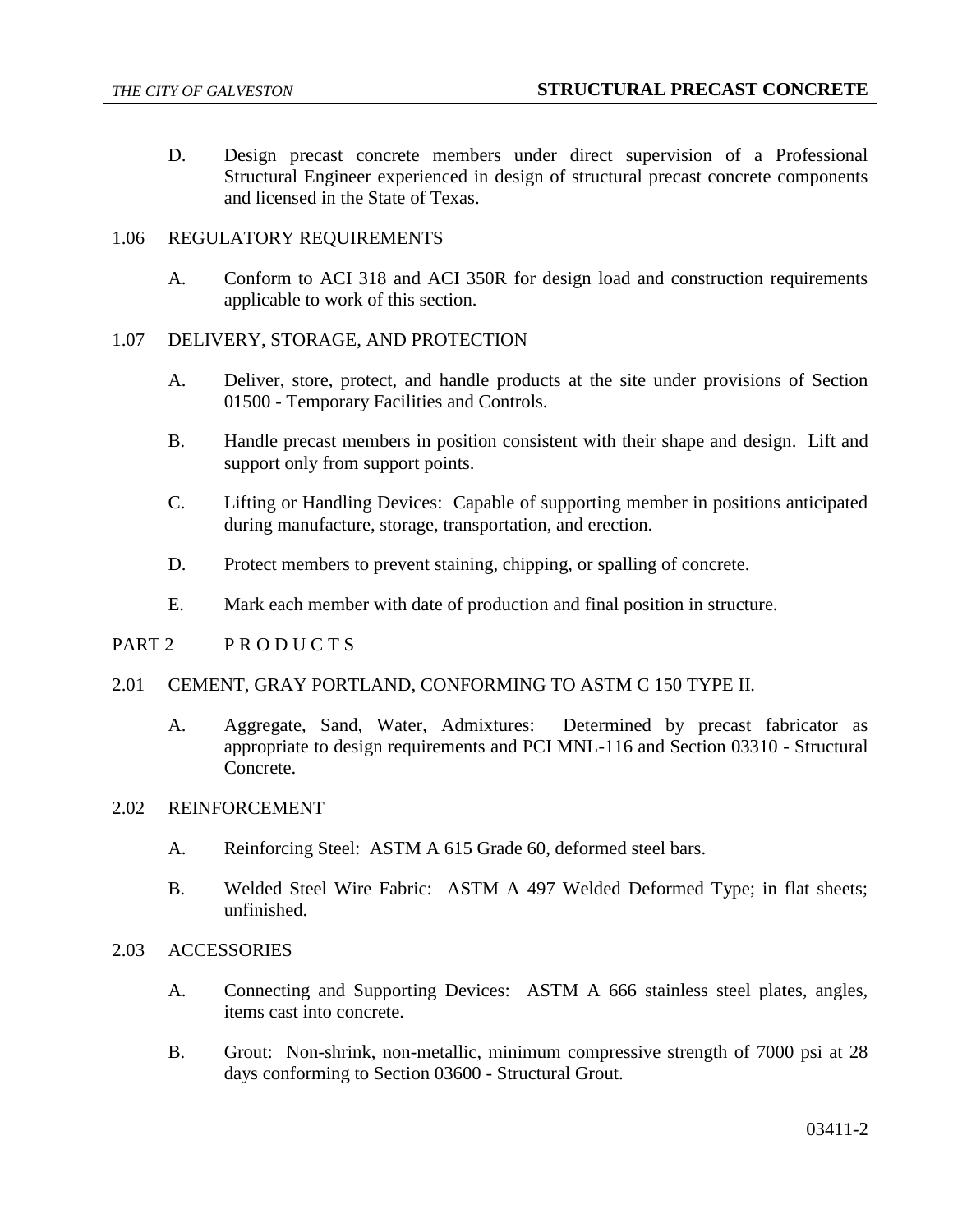D. Design precast concrete members under direct supervision of a Professional Structural Engineer experienced in design of structural precast concrete components and licensed in the State of Texas.

#### 1.06 REGULATORY REQUIREMENTS

A. Conform to ACI 318 and ACI 350R for design load and construction requirements applicable to work of this section.

#### 1.07 DELIVERY, STORAGE, AND PROTECTION

- A. Deliver, store, protect, and handle products at the site under provisions of Section 01500 - Temporary Facilities and Controls.
- B. Handle precast members in position consistent with their shape and design. Lift and support only from support points.
- C. Lifting or Handling Devices: Capable of supporting member in positions anticipated during manufacture, storage, transportation, and erection.
- D. Protect members to prevent staining, chipping, or spalling of concrete.
- E. Mark each member with date of production and final position in structure.

## PART 2 PRODUCTS

# 2.01 CEMENT, GRAY PORTLAND, CONFORMING TO ASTM C 150 TYPE II.

A. Aggregate, Sand, Water, Admixtures: Determined by precast fabricator as appropriate to design requirements and PCI MNL-116 and Section 03310 - Structural Concrete.

### 2.02 REINFORCEMENT

- A. Reinforcing Steel: ASTM A 615 Grade 60, deformed steel bars.
- B. Welded Steel Wire Fabric: ASTM A 497 Welded Deformed Type; in flat sheets; unfinished.

#### 2.03 ACCESSORIES

- A. Connecting and Supporting Devices: ASTM A 666 stainless steel plates, angles, items cast into concrete.
- B. Grout: Non-shrink, non-metallic, minimum compressive strength of 7000 psi at 28 days conforming to Section 03600 - Structural Grout.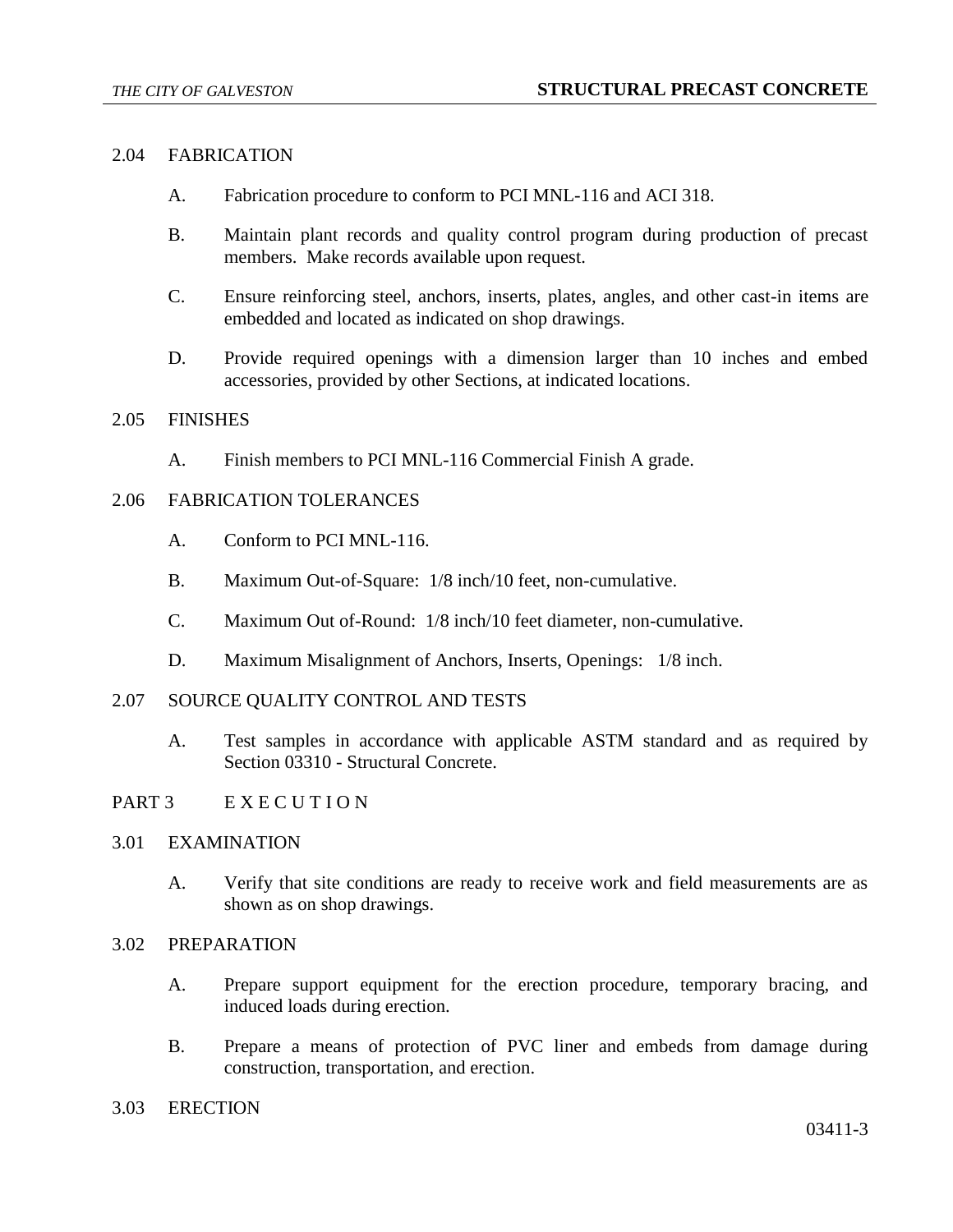### 2.04 FABRICATION

- A. Fabrication procedure to conform to PCI MNL-116 and ACI 318.
- B. Maintain plant records and quality control program during production of precast members. Make records available upon request.
- C. Ensure reinforcing steel, anchors, inserts, plates, angles, and other cast-in items are embedded and located as indicated on shop drawings.
- D. Provide required openings with a dimension larger than 10 inches and embed accessories, provided by other Sections, at indicated locations.

### 2.05 FINISHES

A. Finish members to PCI MNL-116 Commercial Finish A grade.

## 2.06 FABRICATION TOLERANCES

- A. Conform to PCI MNL-116.
- B. Maximum Out-of-Square: 1/8 inch/10 feet, non-cumulative.
- C. Maximum Out of-Round: 1/8 inch/10 feet diameter, non-cumulative.
- D. Maximum Misalignment of Anchors, Inserts, Openings: 1/8 inch.

### 2.07 SOURCE QUALITY CONTROL AND TESTS

A. Test samples in accordance with applicable ASTM standard and as required by Section 03310 - Structural Concrete.

### PART 3 E X E C U T I O N

### 3.01 EXAMINATION

A. Verify that site conditions are ready to receive work and field measurements are as shown as on shop drawings.

### 3.02 PREPARATION

- A. Prepare support equipment for the erection procedure, temporary bracing, and induced loads during erection.
- B. Prepare a means of protection of PVC liner and embeds from damage during construction, transportation, and erection.

#### 3.03 ERECTION